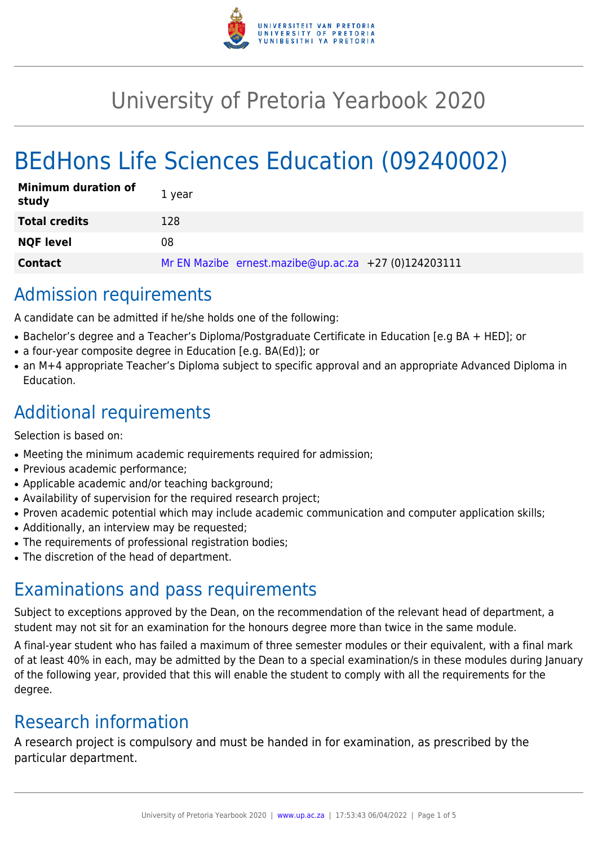

# University of Pretoria Yearbook 2020

# BEdHons Life Sciences Education (09240002)

| <b>Minimum duration of</b><br>study | 1 year                                               |
|-------------------------------------|------------------------------------------------------|
| <b>Total credits</b>                | 128                                                  |
| <b>NQF level</b>                    | 08                                                   |
| <b>Contact</b>                      | Mr EN Mazibe ernest.mazibe@up.ac.za +27 (0)124203111 |

# Admission requirements

A candidate can be admitted if he/she holds one of the following:

- Bachelor's degree and a Teacher's Diploma/Postgraduate Certificate in Education [e.g BA + HED]; or
- a four-year composite degree in Education [e.g. BA(Ed)]; or
- an M+4 appropriate Teacher's Diploma subject to specific approval and an appropriate Advanced Diploma in Education.

# Additional requirements

Selection is based on:

- Meeting the minimum academic requirements required for admission;
- Previous academic performance;
- Applicable academic and/or teaching background;
- Availability of supervision for the required research project;
- Proven academic potential which may include academic communication and computer application skills;
- Additionally, an interview may be requested;
- The requirements of professional registration bodies;
- The discretion of the head of department.

# Examinations and pass requirements

Subject to exceptions approved by the Dean, on the recommendation of the relevant head of department, a student may not sit for an examination for the honours degree more than twice in the same module.

A final-year student who has failed a maximum of three semester modules or their equivalent, with a final mark of at least 40% in each, may be admitted by the Dean to a special examination/s in these modules during January of the following year, provided that this will enable the student to comply with all the requirements for the degree.

# Research information

A research project is compulsory and must be handed in for examination, as prescribed by the particular department.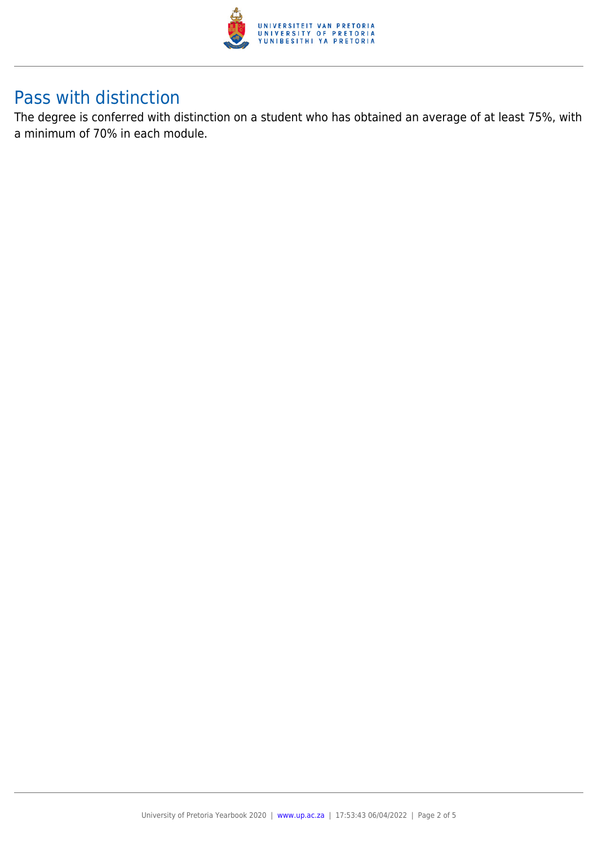

# Pass with distinction

The degree is conferred with distinction on a student who has obtained an average of at least 75%, with a minimum of 70% in each module.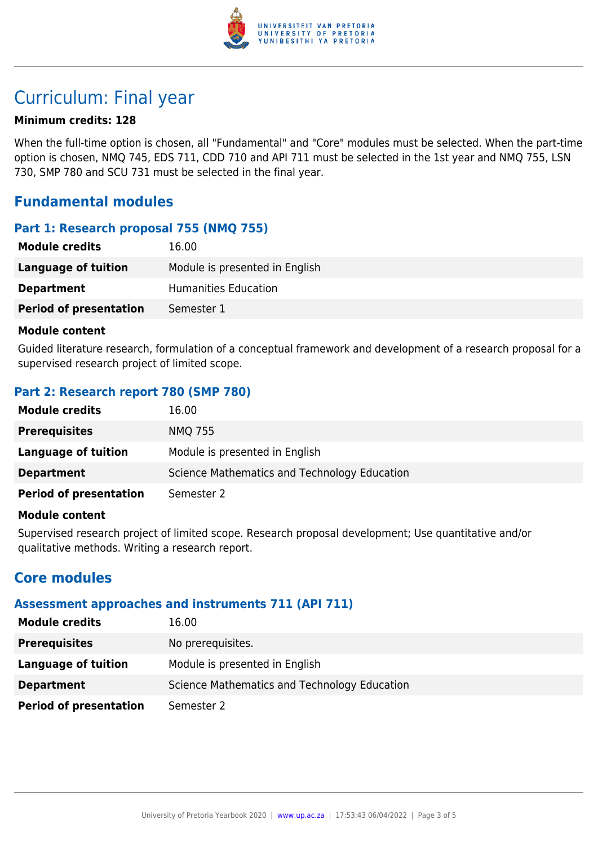

# Curriculum: Final year

## **Minimum credits: 128**

When the full-time option is chosen, all "Fundamental" and "Core" modules must be selected. When the part-time option is chosen, NMQ 745, EDS 711, CDD 710 and API 711 must be selected in the 1st year and NMQ 755, LSN 730, SMP 780 and SCU 731 must be selected in the final year.

# **Fundamental modules**

## **Part 1: Research proposal 755 (NMQ 755)**

| <b>Module credits</b>         | 16.00                          |
|-------------------------------|--------------------------------|
| Language of tuition           | Module is presented in English |
| <b>Department</b>             | Humanities Education           |
| <b>Period of presentation</b> | Semester 1                     |

#### **Module content**

Guided literature research, formulation of a conceptual framework and development of a research proposal for a supervised research project of limited scope.

# **Part 2: Research report 780 (SMP 780)**

| <b>Module credits</b>         | 16.00                                        |
|-------------------------------|----------------------------------------------|
| <b>Prerequisites</b>          | <b>NMQ 755</b>                               |
| Language of tuition           | Module is presented in English               |
| <b>Department</b>             | Science Mathematics and Technology Education |
| <b>Period of presentation</b> | Semester 2                                   |

#### **Module content**

Supervised research project of limited scope. Research proposal development; Use quantitative and/or qualitative methods. Writing a research report.

# **Core modules**

### **Assessment approaches and instruments 711 (API 711)**

| <b>Module credits</b>         | 16.00                                        |
|-------------------------------|----------------------------------------------|
| <b>Prerequisites</b>          | No prerequisites.                            |
| Language of tuition           | Module is presented in English               |
| <b>Department</b>             | Science Mathematics and Technology Education |
| <b>Period of presentation</b> | Semester 2                                   |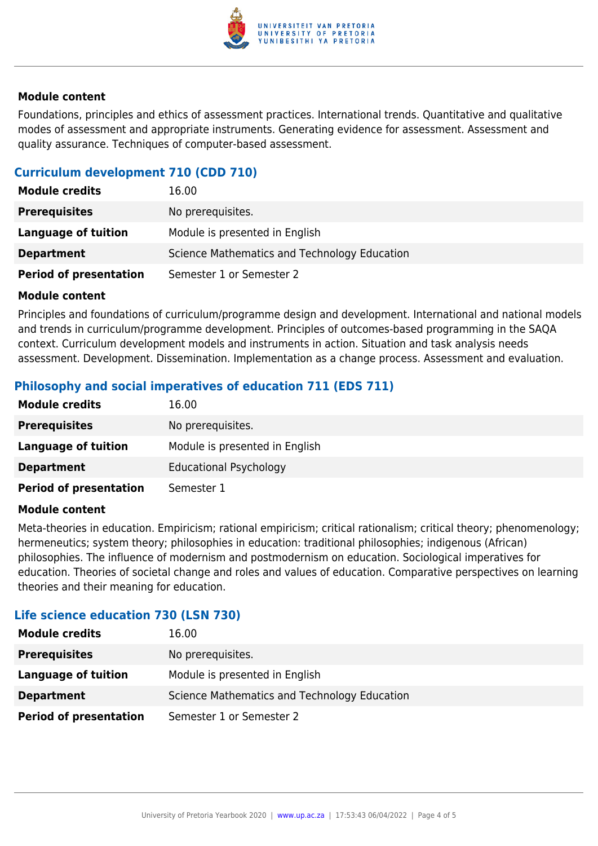

### **Module content**

Foundations, principles and ethics of assessment practices. International trends. Quantitative and qualitative modes of assessment and appropriate instruments. Generating evidence for assessment. Assessment and quality assurance. Techniques of computer-based assessment.

# **Curriculum development 710 (CDD 710)**

| <b>Module credits</b>         | 16.00                                        |
|-------------------------------|----------------------------------------------|
| <b>Prerequisites</b>          | No prerequisites.                            |
| Language of tuition           | Module is presented in English               |
| <b>Department</b>             | Science Mathematics and Technology Education |
| <b>Period of presentation</b> | Semester 1 or Semester 2                     |

### **Module content**

Principles and foundations of curriculum/programme design and development. International and national models and trends in curriculum/programme development. Principles of outcomes-based programming in the SAQA context. Curriculum development models and instruments in action. Situation and task analysis needs assessment. Development. Dissemination. Implementation as a change process. Assessment and evaluation.

# **Philosophy and social imperatives of education 711 (EDS 711)**

| <b>Module credits</b>         | 16.00                          |
|-------------------------------|--------------------------------|
| <b>Prerequisites</b>          | No prerequisites.              |
| Language of tuition           | Module is presented in English |
| <b>Department</b>             | <b>Educational Psychology</b>  |
| <b>Period of presentation</b> | Semester 1                     |

#### **Module content**

Meta-theories in education. Empiricism; rational empiricism; critical rationalism; critical theory; phenomenology; hermeneutics; system theory; philosophies in education: traditional philosophies; indigenous (African) philosophies. The influence of modernism and postmodernism on education. Sociological imperatives for education. Theories of societal change and roles and values of education. Comparative perspectives on learning theories and their meaning for education.

### **Life science education 730 (LSN 730)**

| <b>Module credits</b>         | 16.00                                        |
|-------------------------------|----------------------------------------------|
| <b>Prerequisites</b>          | No prerequisites.                            |
| Language of tuition           | Module is presented in English               |
| <b>Department</b>             | Science Mathematics and Technology Education |
| <b>Period of presentation</b> | Semester 1 or Semester 2                     |